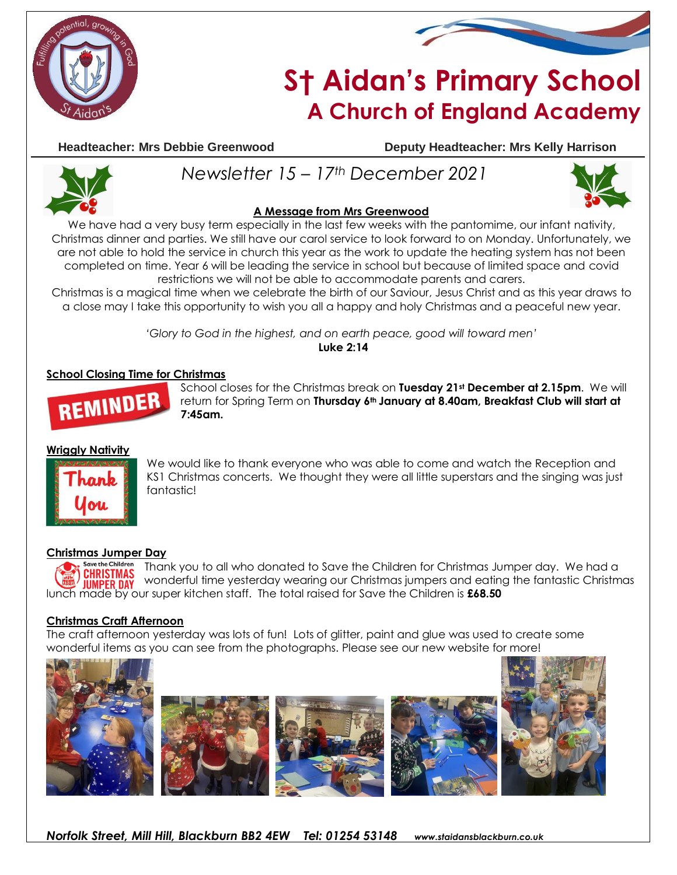



# **S† Aidan's Primary School A Church of England Academy**

**Headteacher: Mrs Debbie Greenwood Deputy Headteacher: Mrs Kelly Harrison**



## **A Message from Mrs Greenwood**

*Newsletter 15 – 17th December 2021*

We have had a very busy term especially in the last few weeks with the pantomime, our infant nativity, Christmas dinner and parties. We still have our carol service to look forward to on Monday. Unfortunately, we are not able to hold the service in church this year as the work to update the heating system has not been completed on time. Year 6 will be leading the service in school but because of limited space and covid restrictions we will not be able to accommodate parents and carers.

Christmas is a magical time when we celebrate the birth of our Saviour, Jesus Christ and as this year draws to a close may I take this opportunity to wish you all a happy and holy Christmas and a peaceful new year.

*'Glory to God in the highest, and on earth peace, good will toward men'*

**Luke 2:14**

### **School Closing Time for Christmas**



School closes for the Christmas break on **Tuesday 21st December at 2.15pm**. We will return for Spring Term on **Thursday 6th January at 8.40am, Breakfast Club will start at 7:45am.**

#### **Wriggly Nativity**



We would like to thank everyone who was able to come and watch the Reception and KS1 Christmas concerts. We thought they were all little superstars and the singing was just fantastic!

#### **Christmas Jumper Day**

**Save the Childre** Thank you to all who donated to Save the Children for Christmas Jumper day. We had a **CHRISTMAS** wonderful time yesterday wearing our Christmas jumpers and eating the fantastic Christmas **IIIMPFR DAY** lunch made by our super kitchen staff. The total raised for Save the Children is **£68.50** 

#### **Christmas Craft Afternoon**

The craft afternoon yesterday was lots of fun! Lots of glitter, paint and glue was used to create some wonderful items as you can see from the photographs. Please see our new website for more!

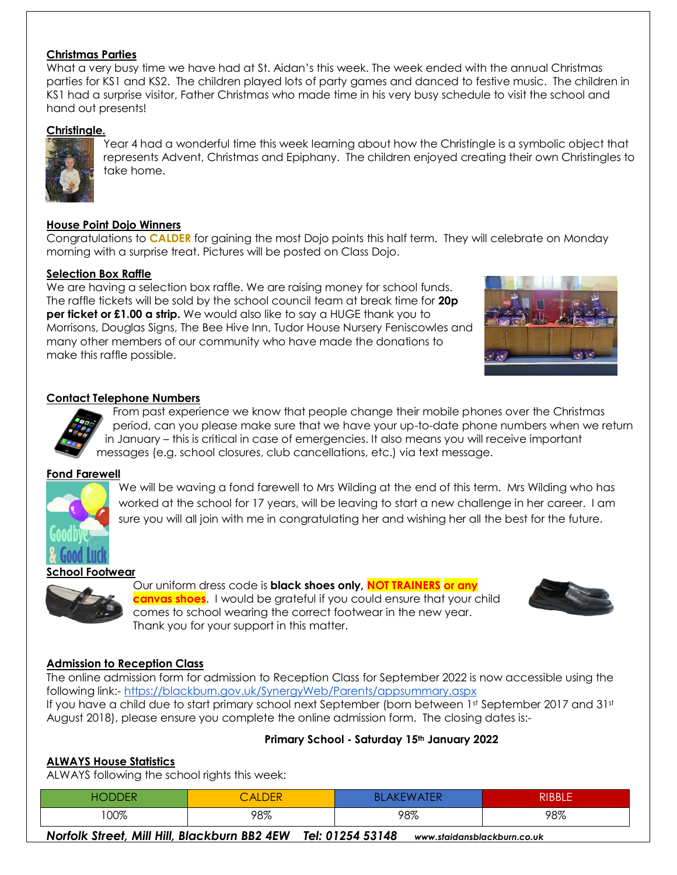#### **Christmas Parties**

What a very busy time we have had at St. Aidan's this week. The week ended with the annual Christmas parties for KS1 and KS2. The children played lots of party games and danced to festive music. The children in KS1 had a surprise visitor, Father Christmas who made time in his very busy schedule to visit the school and hand out presents!

### **Christingle.**



Year 4 had a wonderful time this week learning about how the Christingle is a symbolic object that represents Advent, Christmas and Epiphany. The children enjoyed creating their own Christingles to take home.

### **House Point Dojo Winners**

Congratulations to **CALDER** for gaining the most Dojo points this half term. They will celebrate on Monday morning with a surprise treat. Pictures will be posted on Class Dojo.

#### **Selection Box Raffle**

We are having a selection box raffle. We are raising money for school funds. The raffle tickets will be sold by the school council team at break time for **20p per ticket or £1.00 a strip.** We would also like to say a HUGE thank you to Morrisons, Douglas Signs, The Bee Hive Inn, Tudor House Nursery Feniscowles and many other members of our community who have made the donations to make this raffle possible.



#### **Contact Telephone Numbers**

From past experience we know that people change their mobile phones over the Christmas period, can you please make sure that we have your up-to-date phone numbers when we return in January – this is critical in case of emergencies. It also means you will receive important messages (e.g. school closures, club cancellations, etc.) via text message.

#### **Fond Farewell**



We will be waving a fond farewell to Mrs Wilding at the end of this term. Mrs Wilding who has worked at the school for 17 years, will be leaving to start a new challenge in her career. I am sure you will all join with me in congratulating her and wishing her all the best for the future.

#### **School Footwear**



Our uniform dress code is **black shoes only, NOT TRAINERS or any canvas shoes**. I would be grateful if you could ensure that your child comes to school wearing the correct footwear in the new year. Thank you for your support in this matter.



#### **Admission to Reception Class**

The online admission form for admission to Reception Class for September 2022 is now accessible using the following link:- <https://blackburn.gov.uk/SynergyWeb/Parents/appsummary.aspx> If you have a child due to start primary school next September (born between 1st September 2017 and 31st August 2018), please ensure you complete the online admission form. The closing dates is:-

#### **Primary School - Saturday 15th January 2022**

#### **ALWAYS House Statistics**

ALWAYS following the school rights this week:

| $ -$ | $\mathcal{L}$ ALDER | <b>NTER</b><br>Ak<br>w | <b>RIBBLE</b> |
|------|---------------------|------------------------|---------------|
| 100% | 98%                 | 98%                    | 98%           |

*Norfolk Street, Mill Hill, Blackburn BB2 4EW Tel: 01254 53148 www.staidansblackburn.co.uk*